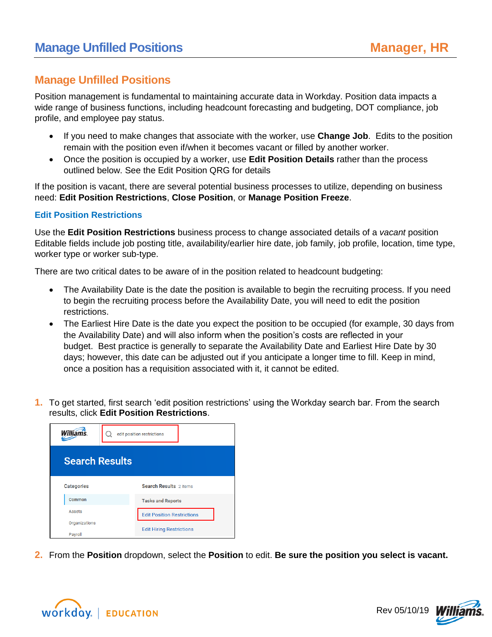### **Manage Unfilled Positions**

Position management is fundamental to maintaining accurate data in Workday. Position data impacts a wide range of business functions, including headcount forecasting and budgeting, DOT compliance, job profile, and employee pay status.

- If you need to make changes that associate with the worker, use **Change Job**. Edits to the position remain with the position even if/when it becomes vacant or filled by another worker.
- Once the position is occupied by a worker, use **Edit Position Details** rather than the process outlined below. See the Edit Position QRG for details

If the position is vacant, there are several potential business processes to utilize, depending on business need: **Edit Position Restrictions**, **Close Position**, or **Manage Position Freeze**.

### **Edit Position Restrictions**

Use the **Edit Position Restrictions** business process to change associated details of a *vacant* position Editable fields include job posting title, availability/earlier hire date, job family, job profile, location, time type, worker type or worker sub-type.

There are two critical dates to be aware of in the position related to headcount budgeting:

- The Availability Date is the date the position is available to begin the recruiting process. If you need to begin the recruiting process before the Availability Date, you will need to edit the position restrictions.
- The Earliest Hire Date is the date you expect the position to be occupied (for example, 30 days from the Availability Date) and will also inform when the position's costs are reflected in your budget. Best practice is generally to separate the Availability Date and Earliest Hire Date by 30 days; however, this date can be adjusted out if you anticipate a longer time to fill. Keep in mind, once a position has a requisition associated with it, it cannot be edited.
- **1.** To get started, first search 'edit position restrictions' using the Workday search bar. From the search results, click **Edit Position Restrictions**.



**2.** From the **Position** dropdown, select the **Position** to edit. **Be sure the position you select is vacant.**



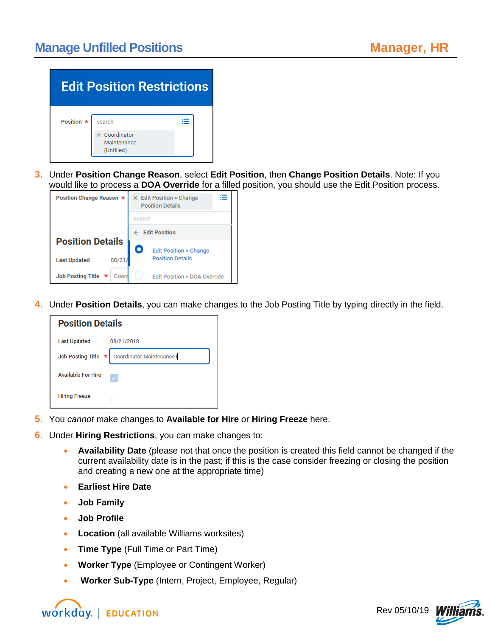| <b>Edit Position Restrictions</b> |                                |  |
|-----------------------------------|--------------------------------|--|
| Position $\star$                  | search<br>$\times$ Coordinator |  |
|                                   | Maintenance<br>(Unfilled)      |  |

**3.** Under **Position Change Reason**, select **Edit Position**, then **Change Position Details**. Note: If you would like to process a **DOA Override** for a filled position, you should use the Edit Position process.



**4.** Under **Position Details**, you can make changes to the Job Posting Title by typing directly in the field.

| <b>Position Details</b>   |                                             |  |
|---------------------------|---------------------------------------------|--|
| <b>Last Updated</b>       | 08/21/2018                                  |  |
|                           | Job Posting Title * Coordinator Maintenance |  |
| <b>Available For Hire</b> |                                             |  |
| <b>Hiring Freeze</b>      |                                             |  |

- **5.** You *cannot* make changes to **Available for Hire** or **Hiring Freeze** here.
- **6.** Under **Hiring Restrictions**, you can make changes to:
	- **Availability Date** (please not that once the position is created this field cannot be changed if the current availability date is in the past; if this is the case consider freezing or closing the position and creating a new one at the appropriate time)
	- **Earliest Hire Date**
	- **Job Family**
	- **Job Profile**
	- **Location** (all available Williams worksites)
	- **Time Type** (Full Time or Part Time)
	- **Worker Type** (Employee or Contingent Worker)
	- **Worker Sub-Type** (Intern, Project, Employee, Regular)



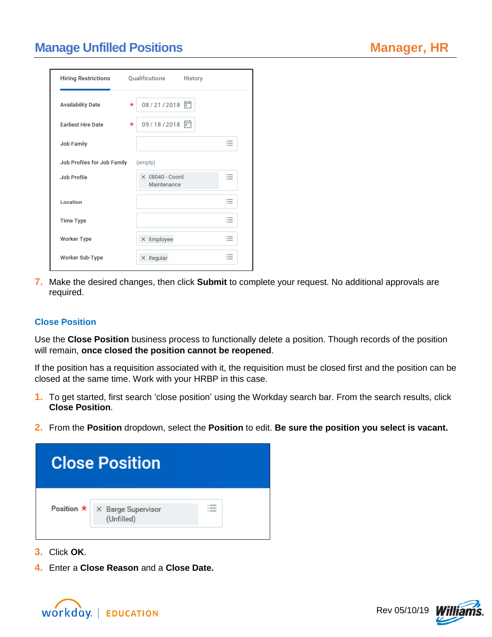## **Manage Unfilled Positions**

| <b>Hiring Restrictions</b>  | Qualifications<br><b>History</b>      |                                                                |
|-----------------------------|---------------------------------------|----------------------------------------------------------------|
| <b>Availability Date</b>    | 08/21/2018<br>$\star$                 |                                                                |
| <b>Farliest Hire Date</b>   | 09/18/2018 同<br>$\star$               |                                                                |
| <b>Job Family</b>           |                                       | $\overline{\phantom{a}}$<br>$-$                                |
| Job Profiles for Job Family | (empty)                               |                                                                |
| <b>Job Profile</b>          | $\times$ 08040 - Coord<br>Maintenance | $\overline{\phantom{0}}$<br>≔                                  |
| Location                    |                                       | $\cdots$<br>$\cdots$<br>$\overline{\phantom{a}}$               |
| <b>Time Type</b>            |                                       | $\cdots$<br>$\overline{\phantom{a}}$                           |
| <b>Worker Type</b>          | $\times$ Employee                     | $\sim$<br>$\overline{\phantom{a}}$<br>$\overline{\phantom{a}}$ |
| <b>Worker Sub-Type</b>      | $\times$ Regular                      | $\overline{\phantom{a}}$                                       |

**7.** Make the desired changes, then click **Submit** to complete your request. No additional approvals are required.

#### **Close Position**

Use the **Close Position** business process to functionally delete a position. Though records of the position will remain, **once closed the position cannot be reopened**.

If the position has a requisition associated with it, the requisition must be closed first and the position can be closed at the same time. Work with your HRBP in this case.

- **1.** To get started, first search 'close position' using the Workday search bar. From the search results, click **Close Position**.
- **2.** From the **Position** dropdown, select the **Position** to edit. **Be sure the position you select is vacant.**



- **3.** Click **OK**.
- **4.** Enter a **Close Reason** and a **Close Date.**



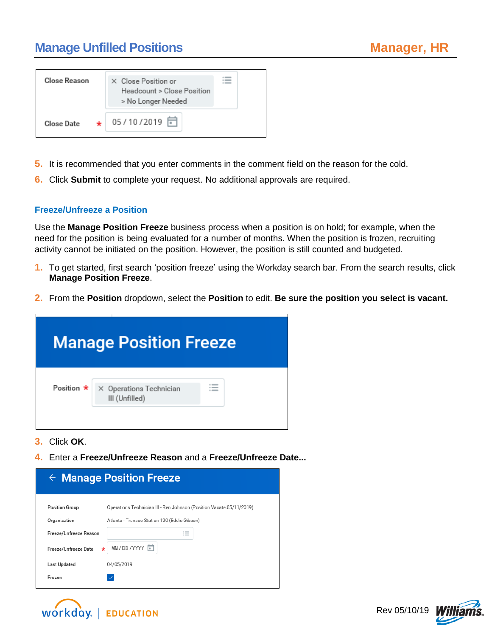# **Manage Unfilled Positions**

| Close Reason | X Close Position or<br>Headcount > Close Position<br>> No Longer Needed |  |
|--------------|-------------------------------------------------------------------------|--|
| Close Date   | 05/10/2019 〒                                                            |  |

- **5.** It is recommended that you enter comments in the comment field on the reason for the cold.
- **6.** Click **Submit** to complete your request. No additional approvals are required.

#### **Freeze/Unfreeze a Position**

Use the **Manage Position Freeze** business process when a position is on hold; for example, when the need for the position is being evaluated for a number of months. When the position is frozen, recruiting activity cannot be initiated on the position. However, the position is still counted and budgeted.

- **1.** To get started, first search 'position freeze' using the Workday search bar. From the search results, click **Manage Position Freeze**.
- **2.** From the **Position** dropdown, select the **Position** to edit. **Be sure the position you select is vacant.**



- **3.** Click **OK**.
- **4.** Enter a **Freeze/Unfreeze Reason** and a **Freeze/Unfreeze Date...**

| $\leftarrow$ Manage Position Freeze |                                                                      |  |
|-------------------------------------|----------------------------------------------------------------------|--|
| <b>Position Group</b>               | Operations Technician III - Ben Johnson (Position Vacate:05/11/2019) |  |
| Organization                        | Atlanta - Transco Station 120 (Eddie Gibson)                         |  |
| Freeze/Unfreeze Reason              | $\cdots$<br>$\overline{\phantom{a}}$<br>$\cdots$                     |  |
| Freeze/Unfreeze Date<br>$\star$     | MM/DD/YYYY 同                                                         |  |
| Last Updated                        | 04/05/2019                                                           |  |
| Frozen                              |                                                                      |  |